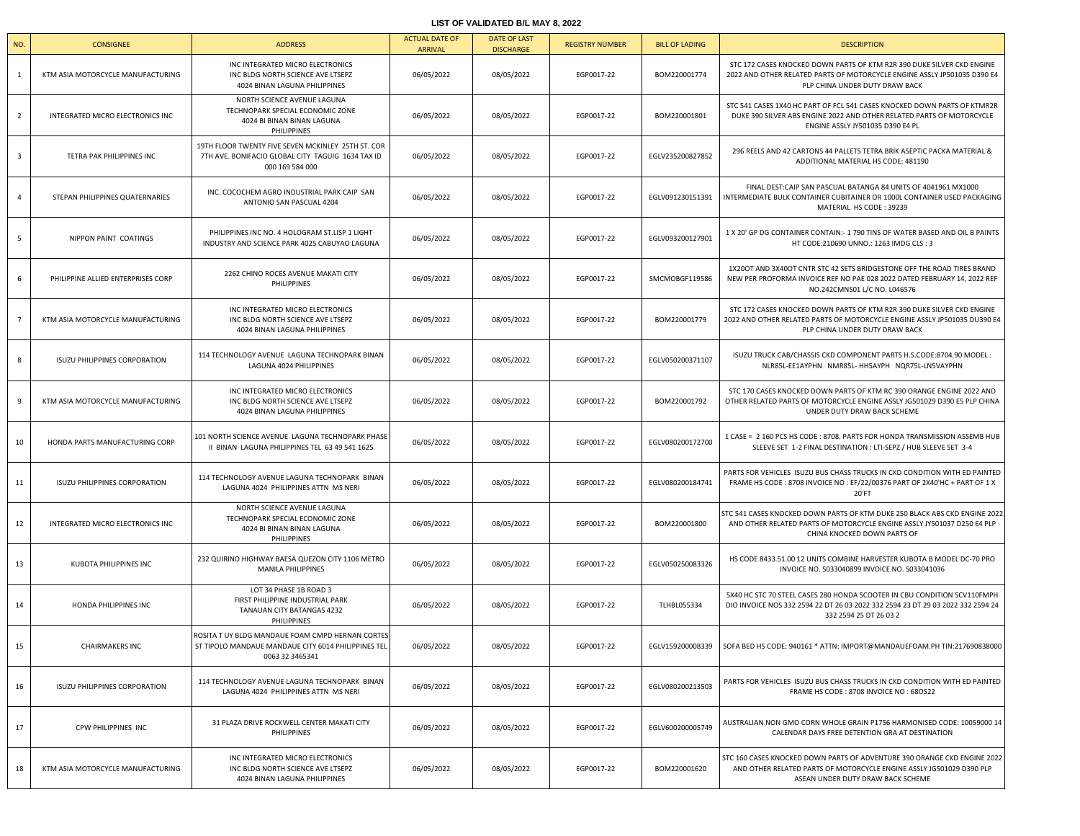## **LIST OF VALIDATED B/L MAY 8, 2022**

| NO.            | <b>CONSIGNEE</b>                     | <b>ADDRESS</b>                                                                                                             | <b>ACTUAL DATE OF</b><br><b>ARRIVAL</b> | <b>DATE OF LAST</b><br><b>DISCHARGE</b> | <b>REGISTRY NUMBER</b> | <b>BILL OF LADING</b> | <b>DESCRIPTION</b>                                                                                                                                                                    |
|----------------|--------------------------------------|----------------------------------------------------------------------------------------------------------------------------|-----------------------------------------|-----------------------------------------|------------------------|-----------------------|---------------------------------------------------------------------------------------------------------------------------------------------------------------------------------------|
| 1              | KTM ASIA MOTORCYCLE MANUFACTURING    | INC INTEGRATED MICRO ELECTRONICS<br>INC BLDG NORTH SCIENCE AVE LTSEPZ<br>4024 BINAN LAGUNA PHILIPPINES                     | 06/05/2022                              | 08/05/2022                              | EGP0017-22             | BOM220001774          | STC 172 CASES KNOCKED DOWN PARTS OF KTM R2R 390 DUKE SILVER CKD ENGINE<br>2022 AND OTHER RELATED PARTS OF MOTORCYCLE ENGINE ASSLY JP501035 D390 E4<br>PLP CHINA UNDER DUTY DRAW BACK  |
| 2              | INTEGRATED MICRO ELECTRONICS INC     | NORTH SCIENCE AVENUE LAGUNA<br>TECHNOPARK SPECIAL ECONOMIC ZONE<br>4024 BI BINAN BINAN LAGUNA<br>PHILIPPINES               | 06/05/2022                              | 08/05/2022                              | EGP0017-22             | BOM220001801          | STC 541 CASES 1X40 HC PART OF FCL 541 CASES KNOCKED DOWN PARTS OF KTMR2R<br>DUKE 390 SILVER ABS ENGINE 2022 AND OTHER RELATED PARTS OF MOTORCYCLE<br>ENGINE ASSLY JY501035 D390 E4 PL |
| $\overline{3}$ | TETRA PAK PHILIPPINES INC            | 19TH FLOOR TWENTY FIVE SEVEN MCKINLEY 25TH ST. COR<br>7TH AVE. BONIFACIO GLOBAL CITY TAGUIG 1634 TAX ID<br>000 169 584 000 | 06/05/2022                              | 08/05/2022                              | EGP0017-22             | EGLV235200827852      | 296 REELS AND 42 CARTONS 44 PALLETS TETRA BRIK ASEPTIC PACKA MATERIAL &<br>ADDITIONAL MATERIAL HS CODE: 481190                                                                        |
| 4              | STEPAN PHILIPPINES QUATERNARIES      | INC. COCOCHEM AGRO INDUSTRIAL PARK CAIP SAN<br>ANTONIO SAN PASCUAL 4204                                                    | 06/05/2022                              | 08/05/2022                              | EGP0017-22             | EGLV091230151391      | FINAL DEST:CAIP SAN PASCUAL BATANGA 84 UNITS OF 4041961 MX1000<br>INTERMEDIATE BULK CONTAINER CUBITAINER OR 1000L CONTAINER USED PACKAGING<br>MATERIAL HS CODE: 39239                 |
| 5              | NIPPON PAINT COATINGS                | PHILIPPINES INC NO. 4 HOLOGRAM ST.LISP 1 LIGHT<br>INDUSTRY AND SCIENCE PARK 4025 CABUYAO LAGUNA                            | 06/05/2022                              | 08/05/2022                              | EGP0017-22             | EGLV093200127901      | 1 X 20' GP DG CONTAINER CONTAIN:- 1 790 TINS OF WATER BASED AND OIL B PAINTS<br>HT CODE:210690 UNNO.: 1263 IMDG CLS: 3                                                                |
| 6              | PHILIPPINE ALLIED ENTERPRISES CORP   | 2262 CHINO ROCES AVENUE MAKATI CITY<br>PHILIPPINES                                                                         | 06/05/2022                              | 08/05/2022                              | EGP0017-22             | SMCMOBGF119586        | 1X200T AND 3X400T CNTR STC 42 SETS BRIDGESTONE OFF THE ROAD TIRES BRAND<br>NEW PER PROFORMA INVOICE REF NO PAE 028 2022 DATED FEBRUARY 14, 2022 REF<br>NO.242CMNS01 L/C NO. L046576   |
|                | KTM ASIA MOTORCYCLE MANUFACTURING    | INC INTEGRATED MICRO ELECTRONICS<br>INC BLDG NORTH SCIENCE AVE LTSEPZ<br>4024 BINAN LAGUNA PHILIPPINES                     | 06/05/2022                              | 08/05/2022                              | EGP0017-22             | BOM220001779          | STC 172 CASES KNOCKED DOWN PARTS OF KTM R2R 390 DUKE SILVER CKD ENGINE<br>2022 AND OTHER RELATED PARTS OF MOTORCYCLE ENGINE ASSLY JP501035 DU390 E4<br>PLP CHINA UNDER DUTY DRAW BACK |
| 8              | ISUZU PHILIPPINES CORPORATION        | 114 TECHNOLOGY AVENUE LAGUNA TECHNOPARK BINAN<br>LAGUNA 4024 PHILIPPINES                                                   | 06/05/2022                              | 08/05/2022                              | EGP0017-22             | EGLV050200371107      | ISUZU TRUCK CAB/CHASSIS CKD COMPONENT PARTS H.S.CODE:8704.90 MODEL:<br>NLR85L-EE1AYPHN NMR85L- HH5AYPH NQR75L-LN5VAYPHN                                                               |
| -9             | KTM ASIA MOTORCYCLE MANUFACTURING    | INC INTEGRATED MICRO ELECTRONICS<br>INC BLDG NORTH SCIENCE AVE LTSEPZ<br>4024 BINAN LAGUNA PHILIPPINES                     | 06/05/2022                              | 08/05/2022                              | EGP0017-22             | BOM220001792          | STC 170 CASES KNOCKED DOWN PARTS OF KTM RC 390 ORANGE ENGINE 2022 AND<br>OTHER RELATED PARTS OF MOTORCYCLE ENGINE ASSLY JG501029 D390 E5 PLP CHINA<br>UNDER DUTY DRAW BACK SCHEME     |
| 10             | HONDA PARTS MANUFACTURING CORP       | 101 NORTH SCIENCE AVENUE LAGUNA TECHNOPARK PHASE<br>II BINAN LAGUNA PHILIPPINES TEL 63 49 541 1625                         | 06/05/2022                              | 08/05/2022                              | EGP0017-22             | EGLV080200172700      | 1 CASE = 2 160 PCS HS CODE : 8708. PARTS FOR HONDA TRANSMISSION ASSEMB HUB<br>SLEEVE SET 1-2 FINAL DESTINATION : LTI-SEPZ / HUB SLEEVE SET 3-4                                        |
| 11             | <b>ISUZU PHILIPPINES CORPORATION</b> | 114 TECHNOLOGY AVENUE LAGUNA TECHNOPARK BINAN<br>LAGUNA 4024 PHILIPPINES ATTN MS NERI                                      | 06/05/2022                              | 08/05/2022                              | EGP0017-22             | EGLV080200184741      | PARTS FOR VEHICLES ISUZU BUS CHASS TRUCKS IN CKD CONDITION WITH ED PAINTED<br>FRAME HS CODE : 8708 INVOICE NO : EF/22/00376 PART OF 2X40'HC + PART OF 1 X<br>20'FT                    |
| 12             | INTEGRATED MICRO ELECTRONICS INC     | NORTH SCIENCE AVENUE LAGUNA<br>TECHNOPARK SPECIAL ECONOMIC ZONE<br>4024 BI BINAN BINAN LAGUNA<br>PHILIPPINES               | 06/05/2022                              | 08/05/2022                              | EGP0017-22             | BOM220001800          | STC 541 CASES KNOCKED DOWN PARTS OF KTM DUKE 250 BLACK ABS CKD ENGINE 2022<br>AND OTHER RELATED PARTS OF MOTORCYCLE ENGINE ASSLY JY501037 D250 E4 PLP<br>CHINA KNOCKED DOWN PARTS OF  |
| 13             | KUBOTA PHILIPPINES INC               | 232 QUIRINO HIGHWAY BAESA QUEZON CITY 1106 METRO<br>MANILA PHILIPPINES                                                     | 06/05/2022                              | 08/05/2022                              | EGP0017-22             | EGLV050250083326      | HS CODE 8433.51.00 12 UNITS COMBINE HARVESTER KUBOTA B MODEL DC-70 PRO<br>INVOICE NO. S033040899 INVOICE NO. S033041036                                                               |
| 14             | HONDA PHILIPPINES INC                | LOT 34 PHASE 1B ROAD 3<br>FIRST PHILIPPINE INDUSTRIAL PARK<br>TANAUAN CITY BATANGAS 4232<br>PHILIPPINES                    | 06/05/2022                              | 08/05/2022                              | EGP0017-22             | <b>TLHBL055334</b>    | 5X40 HC STC 70 STEEL CASES 280 HONDA SCOOTER IN CBU CONDITION SCV110FMPH<br>DIO INVOICE NOS 332 2594 22 DT 26 03 2022 332 2594 23 DT 29 03 2022 332 2594 24<br>332 2594 25 DT 26 03 2 |
| 15             | <b>CHAIRMAKERS INC</b>               | ROSITA T UY BLDG MANDAUE FOAM CMPD HERNAN CORTES<br>ST TIPOLO MANDAUE MANDAUE CITY 6014 PHILIPPINES TEL<br>0063 32 3465341 | 06/05/2022                              | 08/05/2022                              | EGP0017-22             | EGLV159200008339      | SOFA BED HS CODE: 940161 * ATTN: IMPORT@MANDAUEFOAM.PH TIN:217690838000                                                                                                               |
| 16             | <b>ISUZU PHILIPPINES CORPORATION</b> | 114 TECHNOLOGY AVENUE LAGUNA TECHNOPARK BINAN<br>LAGUNA 4024 PHILIPPINES ATTN MS NERI                                      | 06/05/2022                              | 08/05/2022                              | EGP0017-22             | EGLV080200213503      | PARTS FOR VEHICLES ISUZU BUS CHASS TRUCKS IN CKD CONDITION WITH ED PAINTED<br>FRAME HS CODE: 8708 INVOICE NO: 680S22                                                                  |
| 17             | CPW PHILIPPINES INC                  | 31 PLAZA DRIVE ROCKWELL CENTER MAKATI CITY<br>PHILIPPINES                                                                  | 06/05/2022                              | 08/05/2022                              | EGP0017-22             | EGLV600200005749      | AUSTRALIAN NON GMO CORN WHOLE GRAIN P1756 HARMONISED CODE: 10059000 14<br>CALENDAR DAYS FREE DETENTION GRA AT DESTINATION                                                             |
| 18             | KTM ASIA MOTORCYCLE MANUFACTURING    | INC INTEGRATED MICRO ELECTRONICS<br>INC BLDG NORTH SCIENCE AVE LTSEPZ<br>4024 BINAN LAGUNA PHILIPPINES                     | 06/05/2022                              | 08/05/2022                              | EGP0017-22             | BOM220001620          | STC 160 CASES KNOCKED DOWN PARTS OF ADVENTURE 390 ORANGE CKD ENGINE 2022<br>AND OTHER RELATED PARTS OF MOTORCYCLE ENGINE ASSLY JG501029 D390 PLP<br>ASEAN UNDER DUTY DRAW BACK SCHEME |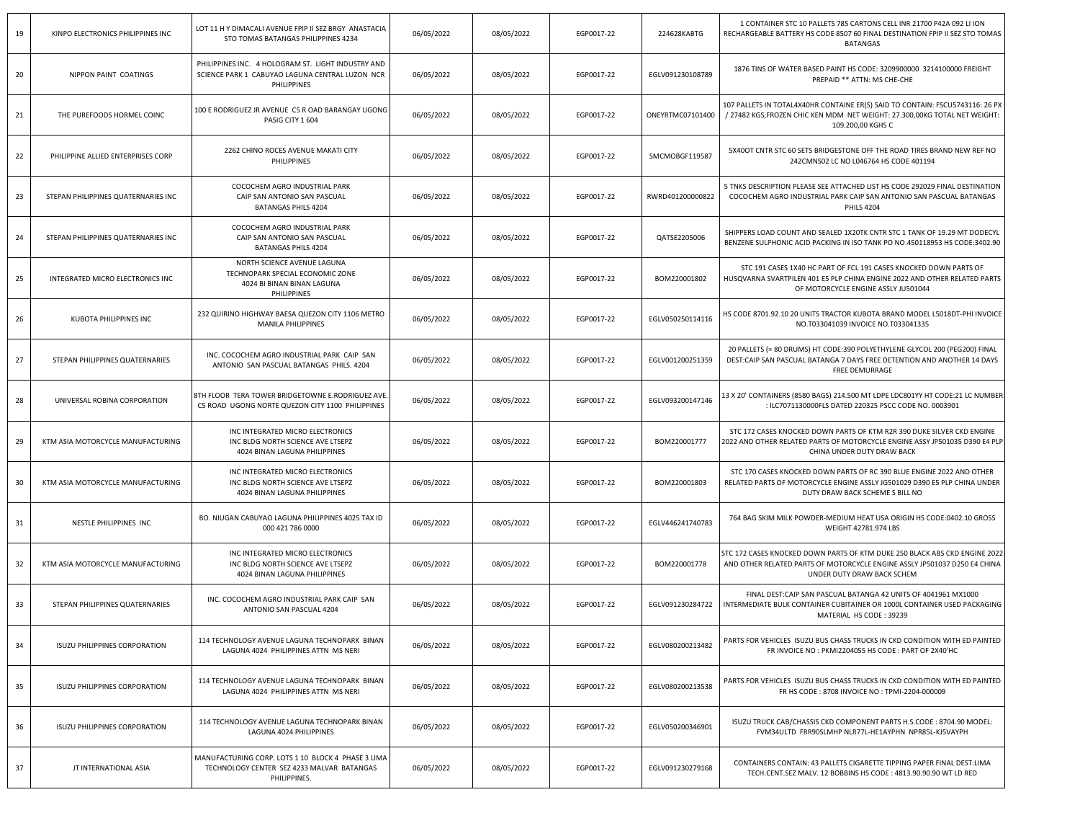| 19 | KINPO ELECTRONICS PHILIPPINES INC    | LOT 11 H Y DIMACALI AVENUE FPIP II SEZ BRGY ANASTACIA<br>STO TOMAS BATANGAS PHILIPPINES 4234                         | 06/05/2022 | 08/05/2022 | EGP0017-22 | 224628KABTG      | 1 CONTAINER STC 10 PALLETS 785 CARTONS CELL INR 21700 P42A 092 LI ION<br>RECHARGEABLE BATTERY HS CODE 8507 60 FINAL DESTINATION FPIP II SEZ STO TOMAS<br><b>BATANGAS</b>              |
|----|--------------------------------------|----------------------------------------------------------------------------------------------------------------------|------------|------------|------------|------------------|---------------------------------------------------------------------------------------------------------------------------------------------------------------------------------------|
| 20 | NIPPON PAINT COATINGS                | PHILIPPINES INC. 4 HOLOGRAM ST. LIGHT INDUSTRY AND<br>SCIENCE PARK 1 CABUYAO LAGUNA CENTRAL LUZON NCR<br>PHILIPPINES | 06/05/2022 | 08/05/2022 | EGP0017-22 | EGLV091230108789 | 1876 TINS OF WATER BASED PAINT HS CODE: 3209900000 3214100000 FREIGHT<br>PREPAID ** ATTN: MS CHE-CHE                                                                                  |
| 21 | THE PUREFOODS HORMEL COINC           | 100 E RODRIGUEZ JR AVENUE C5 R OAD BARANGAY UGONG<br>PASIG CITY 1 604                                                | 06/05/2022 | 08/05/2022 | EGP0017-22 | ONEYRTMC07101400 | 107 PALLETS IN TOTAL4X40HR CONTAINE ER(S) SAID TO CONTAIN: FSCU5743116: 26 PX<br>/ 27482 KGS, FROZEN CHIC KEN MDM NET WEIGHT: 27.300,00KG TOTAL NET WEIGHT:<br>109.200,00 KGHS C      |
| 22 | PHILIPPINE ALLIED ENTERPRISES CORP   | 2262 CHINO ROCES AVENUE MAKATI CITY<br>PHILIPPINES                                                                   | 06/05/2022 | 08/05/2022 | EGP0017-22 | SMCMOBGF119587   | 5X40OT CNTR STC 60 SETS BRIDGESTONE OFF THE ROAD TIRES BRAND NEW REF NO<br>242CMNS02 LC NO L046764 HS CODE 401194                                                                     |
| 23 | STEPAN PHILIPPINES QUATERNARIES INC  | COCOCHEM AGRO INDUSTRIAL PARK<br>CAIP SAN ANTONIO SAN PASCUAL<br><b>BATANGAS PHILS 4204</b>                          | 06/05/2022 | 08/05/2022 | EGP0017-22 | RWRD401200000822 | 5 TNKS DESCRIPTION PLEASE SEE ATTACHED LIST HS CODE 292029 FINAL DESTINATION<br>COCOCHEM AGRO INDUSTRIAL PARK CAIP SAN ANTONIO SAN PASCUAL BATANGAS<br><b>PHILS 4204</b>              |
| 24 | STEPAN PHILIPPINES QUATERNARIES INC  | COCOCHEM AGRO INDUSTRIAL PARK<br>CAIP SAN ANTONIO SAN PASCUAL<br><b>BATANGAS PHILS 4204</b>                          | 06/05/2022 | 08/05/2022 | EGP0017-22 | QATSE2205006     | SHIPPERS LOAD COUNT AND SEALED 1X20TK CNTR STC 1 TANK OF 19.29 MT DODECYL<br>BENZENE SULPHONIC ACID PACKING IN ISO TANK PO NO.450118953 HS CODE:3402.90                               |
| 25 | INTEGRATED MICRO ELECTRONICS INC     | NORTH SCIENCE AVENUE LAGUNA<br>TECHNOPARK SPECIAL ECONOMIC ZONE<br>4024 BI BINAN BINAN LAGUNA<br>PHILIPPINES         | 06/05/2022 | 08/05/2022 | EGP0017-22 | BOM220001802     | STC 191 CASES 1X40 HC PART OF FCL 191 CASES KNOCKED DOWN PARTS OF<br>HUSQVARNA SVARTPILEN 401 E5 PLP CHINA ENGINE 2022 AND OTHER RELATED PARTS<br>OF MOTORCYCLE ENGINE ASSLY JU501044 |
| 26 | <b>KUBOTA PHILIPPINES INC</b>        | 232 QUIRINO HIGHWAY BAESA QUEZON CITY 1106 METRO<br><b>MANILA PHILIPPINES</b>                                        | 06/05/2022 | 08/05/2022 | EGP0017-22 | EGLV050250114116 | HS CODE 8701.92.10 20 UNITS TRACTOR KUBOTA BRAND MODEL L5018DT-PHI INVOICE<br>NO.T033041039 INVOICE NO.T033041335                                                                     |
| 27 | STEPAN PHILIPPINES QUATERNARIES      | INC. COCOCHEM AGRO INDUSTRIAL PARK CAIP SAN<br>ANTONIO SAN PASCUAL BATANGAS PHILS. 4204                              | 06/05/2022 | 08/05/2022 | EGP0017-22 | EGLV001200251359 | 20 PALLETS (= 80 DRUMS) HT CODE:390 POLYETHYLENE GLYCOL 200 (PEG200) FINAL<br>DEST:CAIP SAN PASCUAL BATANGA 7 DAYS FREE DETENTION AND ANOTHER 14 DAYS<br>FREE DEMURRAGE               |
| 28 | UNIVERSAL ROBINA CORPORATION         | 8TH FLOOR TERA TOWER BRIDGETOWNE E.RODRIGUEZ AVE<br>C5 ROAD UGONG NORTE QUEZON CITY 1100 PHILIPPINES                 | 06/05/2022 | 08/05/2022 | EGP0017-22 | EGLV093200147146 | 13 X 20' CONTAINERS (8580 BAGS) 214.500 MT LDPE LDC801YY HT CODE:21 LC NUMBER<br>: ILC7071130000FLS DATED 220325 PSCC CODE NO. 0003901                                                |
| 29 | KTM ASIA MOTORCYCLE MANUFACTURING    | INC INTEGRATED MICRO ELECTRONICS<br>INC BLDG NORTH SCIENCE AVE LTSEPZ<br>4024 BINAN LAGUNA PHILIPPINES               | 06/05/2022 | 08/05/2022 | EGP0017-22 | BOM220001777     | STC 172 CASES KNOCKED DOWN PARTS OF KTM R2R 390 DUKE SILVER CKD ENGINE<br>2022 AND OTHER RELATED PARTS OF MOTORCYCLE ENGINE ASSY JP501035 D390 E4 PLP<br>CHINA UNDER DUTY DRAW BACK   |
| 30 | KTM ASIA MOTORCYCLE MANUFACTURING    | INC INTEGRATED MICRO ELECTRONICS<br>INC BLDG NORTH SCIENCE AVE LTSEPZ<br>4024 BINAN LAGUNA PHILIPPINES               | 06/05/2022 | 08/05/2022 | EGP0017-22 | BOM220001803     | STC 170 CASES KNOCKED DOWN PARTS OF RC 390 BLUE ENGINE 2022 AND OTHER<br>RELATED PARTS OF MOTORCYCLE ENGINE ASSLY JG501029 D390 E5 PLP CHINA UNDER<br>DUTY DRAW BACK SCHEME S BILL NO |
| 31 | NESTLE PHILIPPINES INC               | BO. NIUGAN CABUYAO LAGUNA PHILIPPINES 4025 TAX ID<br>000 421 786 0000                                                | 06/05/2022 | 08/05/2022 | EGP0017-22 | EGLV446241740783 | 764 BAG SKIM MILK POWDER-MEDIUM HEAT USA ORIGIN HS CODE:0402.10 GROSS<br>WEIGHT 42781.974 LBS                                                                                         |
| 32 | KTM ASIA MOTORCYCLE MANUFACTURING    | INC INTEGRATED MICRO ELECTRONICS<br>INC BLDG NORTH SCIENCE AVE LTSEPZ<br>4024 BINAN LAGUNA PHILIPPINES               | 06/05/2022 | 08/05/2022 | EGP0017-22 | BOM220001778     | STC 172 CASES KNOCKED DOWN PARTS OF KTM DUKE 250 BLACK ABS CKD ENGINE 2022<br>AND OTHER RELATED PARTS OF MOTORCYCLE ENGINE ASSLY JP501037 D250 E4 CHINA<br>UNDER DUTY DRAW BACK SCHEM |
| 33 | STEPAN PHILIPPINES QUATERNARIES      | INC. COCOCHEM AGRO INDUSTRIAL PARK CAIP SAN<br>ANTONIO SAN PASCUAL 4204                                              | 06/05/2022 | 08/05/2022 | EGP0017-22 | EGLV091230284722 | FINAL DEST:CAIP SAN PASCUAL BATANGA 42 UNITS OF 4041961 MX1000<br>INTERMEDIATE BULK CONTAINER CUBITAINER OR 1000L CONTAINER USED PACKAGING<br>MATERIAL HS CODE: 39239                 |
| 34 | ISUZU PHILIPPINES CORPORATION        | 114 TECHNOLOGY AVENUE LAGUNA TECHNOPARK BINAN<br>LAGUNA 4024 PHILIPPINES ATTN MS NERI                                | 06/05/2022 | 08/05/2022 | EGP0017-22 | EGLV080200213482 | PARTS FOR VEHICLES ISUZU BUS CHASS TRUCKS IN CKD CONDITION WITH ED PAINTED<br>FR INVOICE NO : PKMI2204055 HS CODE : PART OF 2X40'HC                                                   |
| 35 | ISUZU PHILIPPINES CORPORATION        | 114 TECHNOLOGY AVENUE LAGUNA TECHNOPARK BINAN<br>LAGUNA 4024 PHILIPPINES ATTN MS NERI                                | 06/05/2022 | 08/05/2022 | EGP0017-22 | EGLV080200213538 | PARTS FOR VEHICLES ISUZU BUS CHASS TRUCKS IN CKD CONDITION WITH ED PAINTED<br>FR HS CODE: 8708 INVOICE NO: TPMI-2204-000009                                                           |
| 36 | <b>ISUZU PHILIPPINES CORPORATION</b> | 114 TECHNOLOGY AVENUE LAGUNA TECHNOPARK BINAN<br>LAGUNA 4024 PHILIPPINES                                             | 06/05/2022 | 08/05/2022 | EGP0017-22 | EGLV050200346901 | ISUZU TRUCK CAB/CHASSIS CKD COMPONENT PARTS H.S.CODE: 8704.90 MODEL:<br>FVM34ULTD FRR90SLMHP NLR77L-HE1AYPHN NPR85L-KJ5VAYPH                                                          |
| 37 | JT INTERNATIONAL ASIA                | MANUFACTURING CORP. LOTS 1 10 BLOCK 4 PHASE 3 LIMA<br>TECHNOLOGY CENTER SEZ 4233 MALVAR BATANGAS<br>PHILIPPINES.     | 06/05/2022 | 08/05/2022 | EGP0017-22 | EGLV091230279168 | CONTAINERS CONTAIN: 43 PALLETS CIGARETTE TIPPING PAPER FINAL DEST:LIMA<br>TECH.CENT.SEZ MALV. 12 BOBBINS HS CODE: 4813.90.90.90 WT LD RED                                             |